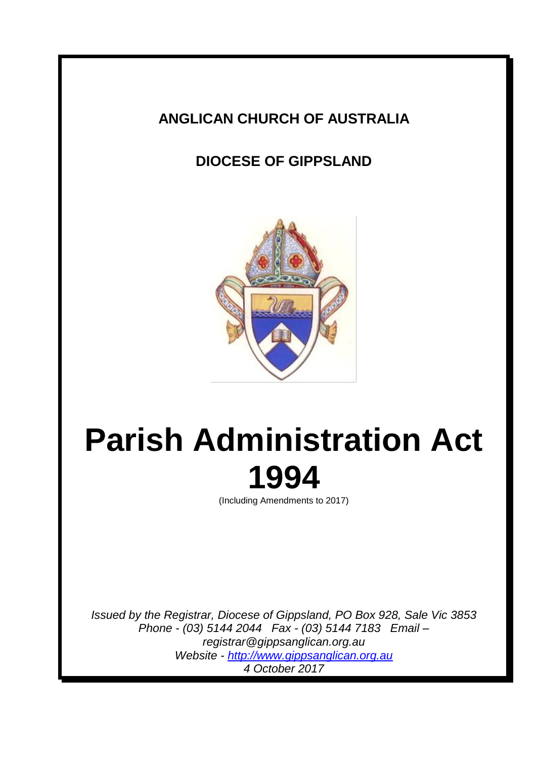# **ANGLICAN CHURCH OF AUSTRALIA**

# **DIOCESE OF GIPPSLAND**



# **Parish Administration Act 1994**

(Including Amendments to 2017)

*Issued by the Registrar, Diocese of Gippsland, PO Box 928, Sale Vic 3853 Phone - (03) 5144 2044 Fax - (03) 5144 7183 Email – registrar@gippsanglican.org.au Website - http://www.gippsanglican.org.au 4 October 2017*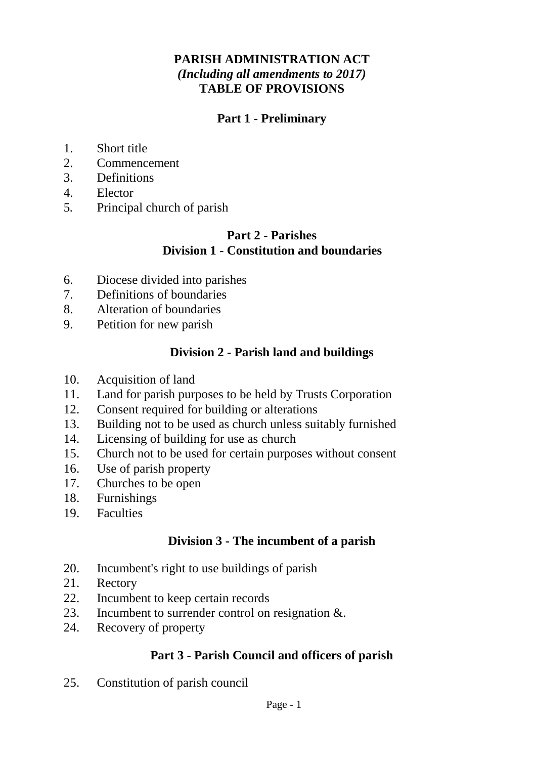## **PARISH ADMINISTRATION ACT** *(Including all amendments to 2017)* **TABLE OF PROVISIONS**

# **Part 1 - Preliminary**

- 1. Short title
- 2. Commencement
- 3. Definitions
- 4. Elector
- 5*.* Principal church of parish

## **Part 2 - Parishes Division 1 - Constitution and boundaries**

- 6. Diocese divided into parishes
- 7. Definitions of boundaries
- 8. Alteration of boundaries
- 9. Petition for new parish

# **Division 2 - Parish land and buildings**

- 10. Acquisition of land
- 11. Land for parish purposes to be held by Trusts Corporation
- 12. Consent required for building or alterations
- 13. Building not to be used as church unless suitably furnished
- 14. Licensing of building for use as church
- 15. Church not to be used for certain purposes without consent
- 16. Use of parish property
- 17. Churches to be open
- 18. Furnishings
- 19. Faculties

## **Division 3 - The incumbent of a parish**

- 20. Incumbent's right to use buildings of parish
- 21. Rectory
- 22. Incumbent to keep certain records
- 23. Incumbent to surrender control on resignation &.
- 24. Recovery of property

# **Part 3 - Parish Council and officers of parish**

25. Constitution of parish council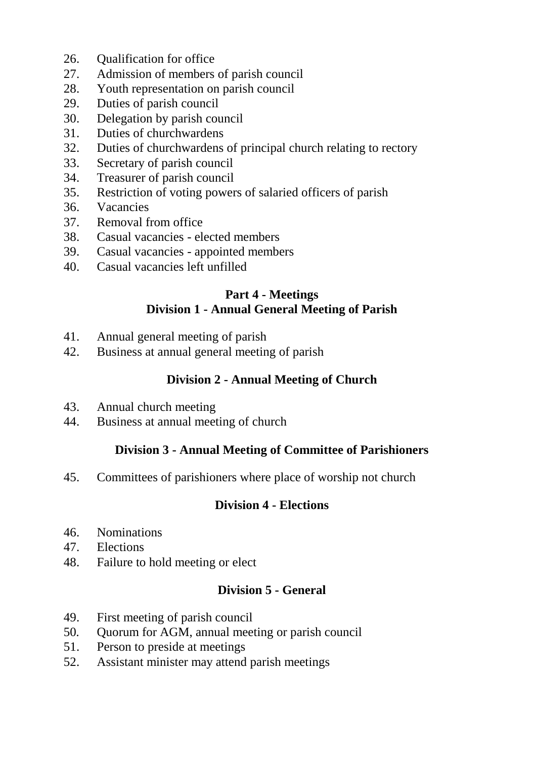- 26. Qualification for office
- 27. Admission of members of parish council
- 28. Youth representation on parish council
- 29. Duties of parish council
- 30. Delegation by parish council
- 31. Duties of churchwardens
- 32. Duties of churchwardens of principal church relating to rectory
- 33. Secretary of parish council
- 34. Treasurer of parish council
- 35. Restriction of voting powers of salaried officers of parish
- 36. Vacancies
- 37. Removal from office
- 38. Casual vacancies elected members
- 39. Casual vacancies appointed members
- 40. Casual vacancies left unfilled

# **Part 4 - Meetings Division 1 - Annual General Meeting of Parish**

- 41. Annual general meeting of parish
- 42. Business at annual general meeting of parish

# **Division 2 - Annual Meeting of Church**

- 43. Annual church meeting
- 44. Business at annual meeting of church

## **Division 3 - Annual Meeting of Committee of Parishioners**

45. Committees of parishioners where place of worship not church

## **Division 4 - Elections**

- 46. Nominations
- 47. Elections
- 48. Failure to hold meeting or elect

#### **Division 5 - General**

- 49. First meeting of parish council
- 50*.* Quorum for AGM, annual meeting or parish council
- 51. Person to preside at meetings
- 52. Assistant minister may attend parish meetings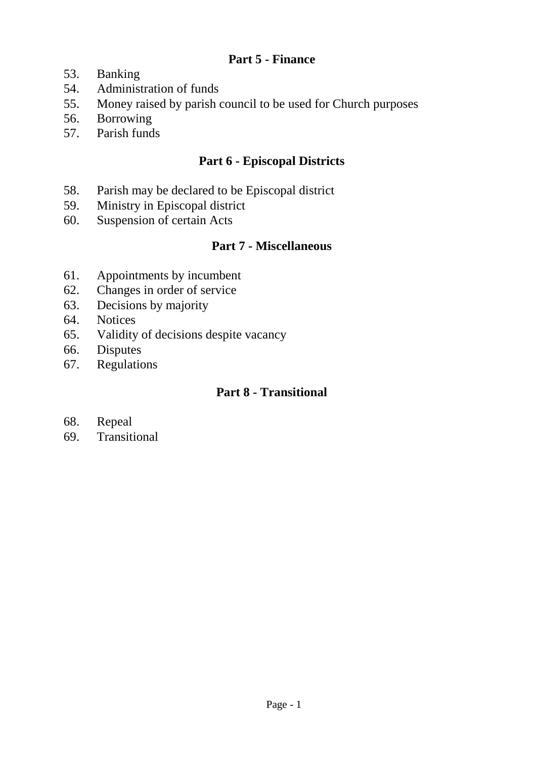## **Part 5 - Finance**

- 53. Banking
- 54. Administration of funds
- 55. Money raised by parish council to be used for Church purposes
- 56. Borrowing
- 57. Parish funds

## **Part 6 - Episcopal Districts**

- 58. Parish may be declared to be Episcopal district
- 59. Ministry in Episcopal district
- 60. Suspension of certain Acts

#### **Part 7 - Miscellaneous**

- 61. Appointments by incumbent
- 62. Changes in order of service
- 63. Decisions by majority
- 64. Notices
- 65. Validity of decisions despite vacancy
- 66. Disputes
- 67. Regulations

# **Part 8 - Transitional**

- 68. Repeal
- 69. Transitional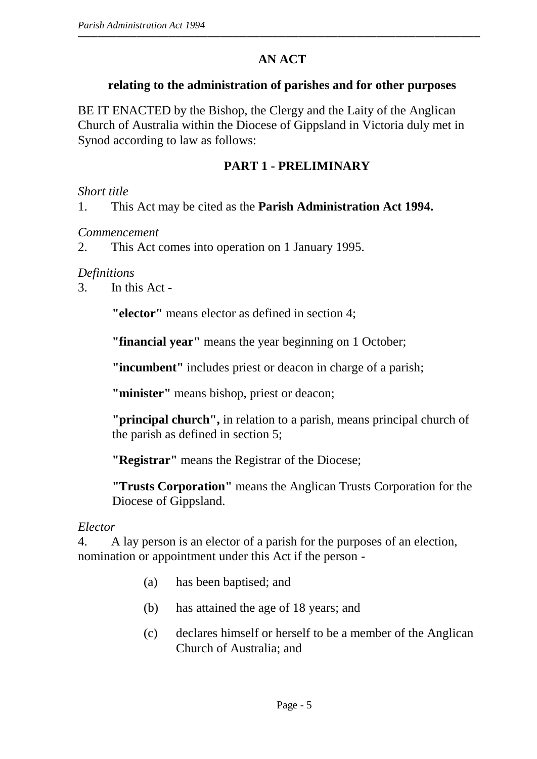# **AN ACT**

#### **relating to the administration of parishes and for other purposes**

BE IT ENACTED by the Bishop, the Clergy and the Laity of the Anglican Church of Australia within the Diocese of Gippsland in Victoria duly met in Synod according to law as follows:

# **PART 1 - PRELIMINARY**

#### *Short title*

1. This Act may be cited as the **Parish Administration Act 1994.**

#### *Commencement*

2. This Act comes into operation on 1 January 1995.

#### *Definitions*

3. In this Act -

**"elector"** means elector as defined in section 4;

**"financial year"** means the year beginning on 1 October;

**"incumbent"** includes priest or deacon in charge of a parish;

**"minister"** means bishop, priest or deacon;

**"principal church",** in relation to a parish, means principal church of the parish as defined in section 5;

**"Registrar"** means the Registrar of the Diocese;

**"Trusts Corporation"** means the Anglican Trusts Corporation for the Diocese of Gippsland.

#### *Elector*

4. A lay person is an elector of a parish for the purposes of an election, nomination or appointment under this Act if the person -

- (a) has been baptised; and
- (b) has attained the age of 18 years; and
- (c) declares himself or herself to be a member of the Anglican Church of Australia; and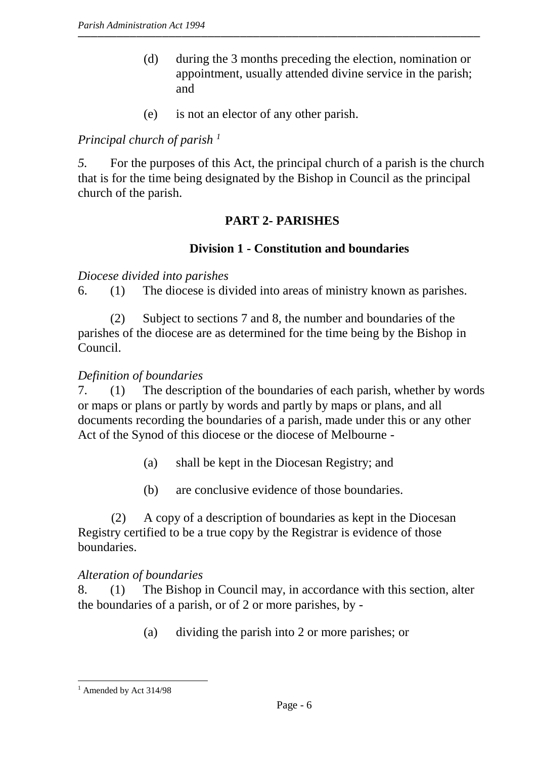- (d) during the 3 months preceding the election, nomination or appointment, usually attended divine service in the parish; and
- (e) is not an elector of any other parish.

# *Principal church of parish <sup>1</sup>*

 *5.* For the purposes of this Act, the principal church of a parish is the church that is for the time being designated by the Bishop in Council as the principal church of the parish.

# **PART 2- PARISHES**

# **Division 1 - Constitution and boundaries**

#### *Diocese divided into parishes*

6. (1) The diocese is divided into areas of ministry known as parishes.

(2) Subject to sections 7 and 8, the number and boundaries of the parishes of the diocese are as determined for the time being by the Bishop in Council.

# *Definition of boundaries*

7. (1) The description of the boundaries of each parish, whether by words or maps or plans or partly by words and partly by maps or plans, and all documents recording the boundaries of a parish, made under this or any other Act of the Synod of this diocese or the diocese of Melbourne -

- (a) shall be kept in the Diocesan Registry; and
- (b) are conclusive evidence of those boundaries.

(2) A copy of a description of boundaries as kept in the Diocesan Registry certified to be a true copy by the Registrar is evidence of those boundaries.

## *Alteration of boundaries*

8. (1) The Bishop in Council may, in accordance with this section, alter the boundaries of a parish, or of 2 or more parishes, by -

(a) dividing the parish into 2 or more parishes; or

 $\overline{a}$  $<sup>1</sup>$  Amended by Act 314/98</sup>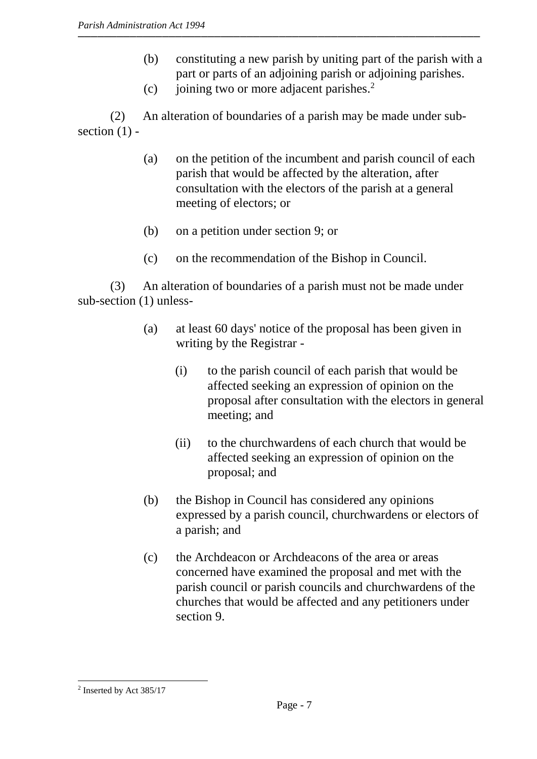- (b) constituting a new parish by uniting part of the parish with a part or parts of an adjoining parish or adjoining parishes.
- (c) joining two or more adjacent parishes. $2$

(2) An alteration of boundaries of a parish may be made under subsection  $(1)$  -

- (a) on the petition of the incumbent and parish council of each parish that would be affected by the alteration, after consultation with the electors of the parish at a general meeting of electors; or
- (b) on a petition under section 9; or
- (c) on the recommendation of the Bishop in Council.

(3) An alteration of boundaries of a parish must not be made under sub-section (1) unless-

- (a) at least 60 days' notice of the proposal has been given in writing by the Registrar -
	- (i) to the parish council of each parish that would be affected seeking an expression of opinion on the proposal after consultation with the electors in general meeting; and
	- (ii) to the churchwardens of each church that would be affected seeking an expression of opinion on the proposal; and
- (b) the Bishop in Council has considered any opinions expressed by a parish council, churchwardens or electors of a parish; and
- (c) the Archdeacon or Archdeacons of the area or areas concerned have examined the proposal and met with the parish council or parish councils and churchwardens of the churches that would be affected and any petitioners under section 9.

 $\overline{a}$  $2$  Inserted by Act 385/17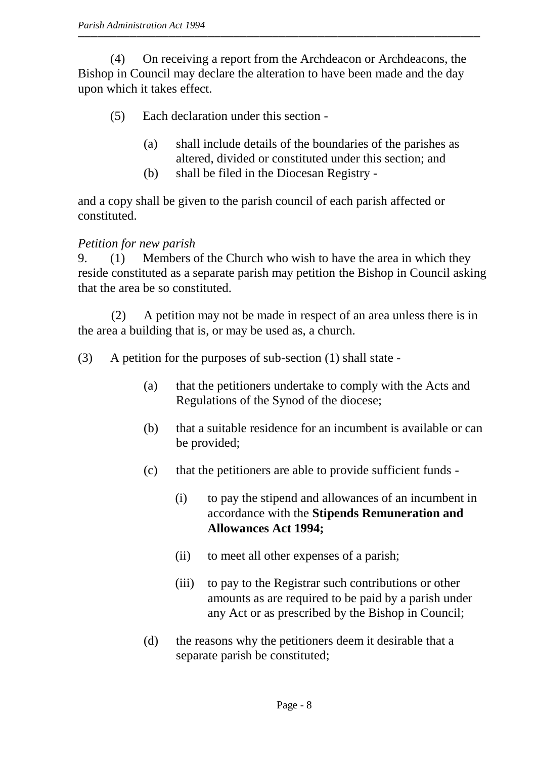(4) On receiving a report from the Archdeacon or Archdeacons, the Bishop in Council may declare the alteration to have been made and the day upon which it takes effect.

- (5) Each declaration under this section
	- (a) shall include details of the boundaries of the parishes as altered, divided or constituted under this section; and
	- (b) shall be filed in the Diocesan Registry -

and a copy shall be given to the parish council of each parish affected or constituted.

## *Petition for new parish*

9. (1) Members of the Church who wish to have the area in which they reside constituted as a separate parish may petition the Bishop in Council asking that the area be so constituted.

(2) A petition may not be made in respect of an area unless there is in the area a building that is, or may be used as, a church.

(3) A petition for the purposes of sub-section (1) shall state -

- (a) that the petitioners undertake to comply with the Acts and Regulations of the Synod of the diocese;
- (b) that a suitable residence for an incumbent is available or can be provided;
- (c) that the petitioners are able to provide sufficient funds
	- (i) to pay the stipend and allowances of an incumbent in accordance with the **Stipends Remuneration and Allowances Act 1994;**
	- (ii) to meet all other expenses of a parish;
	- (iii) to pay to the Registrar such contributions or other amounts as are required to be paid by a parish under any Act or as prescribed by the Bishop in Council;
- (d) the reasons why the petitioners deem it desirable that a separate parish be constituted;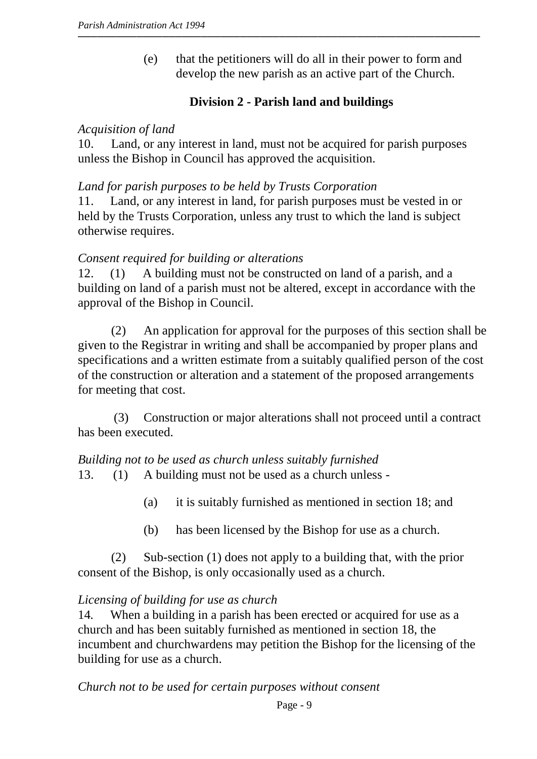(e) that the petitioners will do all in their power to form and develop the new parish as an active part of the Church.

# **Division 2 - Parish land and buildings**

#### *Acquisition of land*

10. Land, or any interest in land, must not be acquired for parish purposes unless the Bishop in Council has approved the acquisition.

#### *Land for parish purposes to be held by Trusts Corporation*

11. Land, or any interest in land, for parish purposes must be vested in or held by the Trusts Corporation, unless any trust to which the land is subject otherwise requires.

#### *Consent required for building or alterations*

12. (1) A building must not be constructed on land of a parish, and a building on land of a parish must not be altered, except in accordance with the approval of the Bishop in Council.

(2) An application for approval for the purposes of this section shall be given to the Registrar in writing and shall be accompanied by proper plans and specifications and a written estimate from a suitably qualified person of the cost of the construction or alteration and a statement of the proposed arrangements for meeting that cost.

(3) Construction or major alterations shall not proceed until a contract has been executed.

*Building not to be used as church unless suitably furnished* 13. (1) A building must not be used as a church unless -

- (a) it is suitably furnished as mentioned in section 18; and
- (b) has been licensed by the Bishop for use as a church.

(2) Sub-section (1) does not apply to a building that, with the prior consent of the Bishop, is only occasionally used as a church.

## *Licensing of building for use as church*

14*.* When a building in a parish has been erected or acquired for use as a church and has been suitably furnished as mentioned in section 18, the incumbent and churchwardens may petition the Bishop for the licensing of the building for use as a church.

*Church not to be used for certain purposes without consent*

Page - 9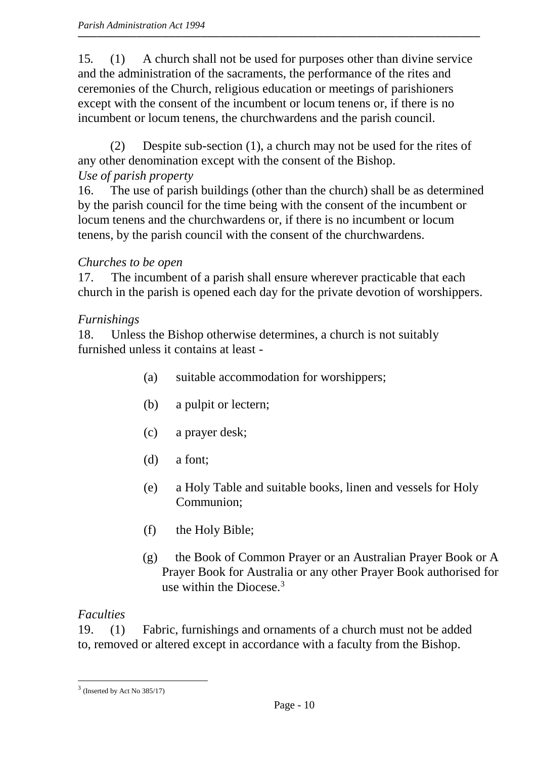15*.* (1) A church shall not be used for purposes other than divine service and the administration of the sacraments, the performance of the rites and ceremonies of the Church, religious education or meetings of parishioners except with the consent of the incumbent or locum tenens or, if there is no incumbent or locum tenens, the churchwardens and the parish council.

(2) Despite sub-section (1), a church may not be used for the rites of any other denomination except with the consent of the Bishop. *Use of parish property*

16. The use of parish buildings (other than the church) shall be as determined by the parish council for the time being with the consent of the incumbent or locum tenens and the churchwardens or, if there is no incumbent or locum tenens, by the parish council with the consent of the churchwardens.

# *Churches to be open*

17. The incumbent of a parish shall ensure wherever practicable that each church in the parish is opened each day for the private devotion of worshippers.

# *Furnishings*

18. Unless the Bishop otherwise determines, a church is not suitably furnished unless it contains at least -

- (a) suitable accommodation for worshippers;
- (b) a pulpit or lectern;
- (c) a prayer desk;
- (d) a font;
- (e) a Holy Table and suitable books, linen and vessels for Holy Communion;
- (f) the Holy Bible;
- (g) the Book of Common Prayer or an Australian Prayer Book or A Prayer Book for Australia or any other Prayer Book authorised for use within the Diocese. $3$

# *Faculties*

 $\overline{a}$ 

19. (1) Fabric, furnishings and ornaments of a church must not be added to, removed or altered except in accordance with a faculty from the Bishop.

 $3$  (Inserted by Act No 385/17)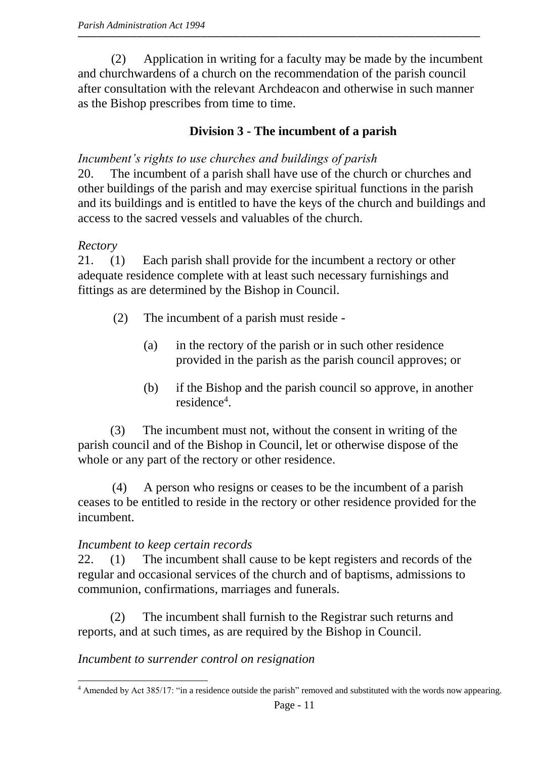(2) Application in writing for a faculty may be made by the incumbent and churchwardens of a church on the recommendation of the parish council after consultation with the relevant Archdeacon and otherwise in such manner as the Bishop prescribes from time to time.

# **Division 3 - The incumbent of a parish**

# *Incumbent's rights to use churches and buildings of parish*

20. The incumbent of a parish shall have use of the church or churches and other buildings of the parish and may exercise spiritual functions in the parish and its buildings and is entitled to have the keys of the church and buildings and access to the sacred vessels and valuables of the church.

# *Rectory*

21. (1) Each parish shall provide for the incumbent a rectory or other adequate residence complete with at least such necessary furnishings and fittings as are determined by the Bishop in Council.

- (2) The incumbent of a parish must reside
	- (a) in the rectory of the parish or in such other residence provided in the parish as the parish council approves; or
	- (b) if the Bishop and the parish council so approve, in another residence<sup>4</sup>.

(3) The incumbent must not, without the consent in writing of the parish council and of the Bishop in Council, let or otherwise dispose of the whole or any part of the rectory or other residence.

(4) A person who resigns or ceases to be the incumbent of a parish ceases to be entitled to reside in the rectory or other residence provided for the incumbent.

# *Incumbent to keep certain records*

22. (1) The incumbent shall cause to be kept registers and records of the regular and occasional services of the church and of baptisms, admissions to communion, confirmations, marriages and funerals.

(2) The incumbent shall furnish to the Registrar such returns and reports, and at such times, as are required by the Bishop in Council.

# *Incumbent to surrender control on resignation*

 $\overline{a}$ <sup>4</sup> Amended by Act 385/17: "in a residence outside the parish" removed and substituted with the words now appearing.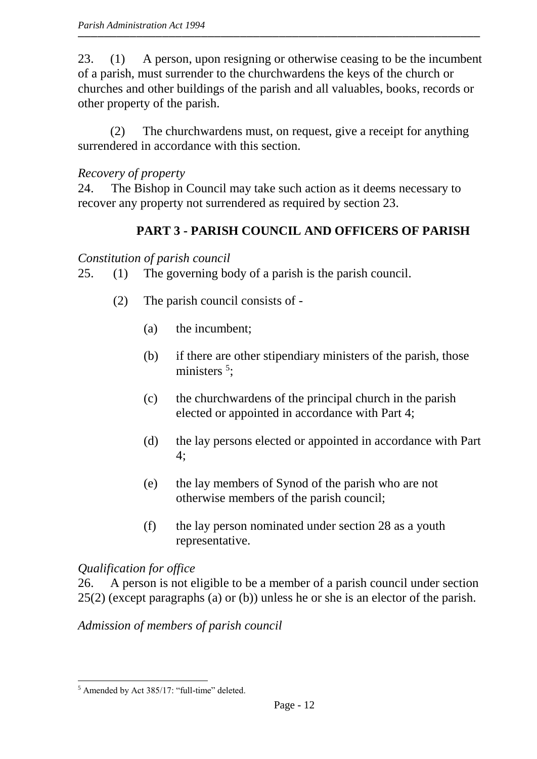23. (1) A person, upon resigning or otherwise ceasing to be the incumbent of a parish, must surrender to the churchwardens the keys of the church or churches and other buildings of the parish and all valuables, books, records or other property of the parish.

(2) The churchwardens must, on request, give a receipt for anything surrendered in accordance with this section.

# *Recovery of property*

24. The Bishop in Council may take such action as it deems necessary to recover any property not surrendered as required by section 23.

# **PART 3 - PARISH COUNCIL AND OFFICERS OF PARISH**

*Constitution of parish council*

- 25. (1) The governing body of a parish is the parish council.
	- (2) The parish council consists of
		- (a) the incumbent;
		- (b) if there are other stipendiary ministers of the parish, those ministers<sup>5</sup>;
		- (c) the churchwardens of the principal church in the parish elected or appointed in accordance with Part 4;
		- (d) the lay persons elected or appointed in accordance with Part 4;
		- (e) the lay members of Synod of the parish who are not otherwise members of the parish council;
		- (f) the lay person nominated under section 28 as a youth representative.

# *Qualification for office*

26. A person is not eligible to be a member of a parish council under section 25(2) (except paragraphs (a) or (b)) unless he or she is an elector of the parish.

*Admission of members of parish council*

 $\overline{a}$ <sup>5</sup> Amended by Act 385/17: "full-time" deleted.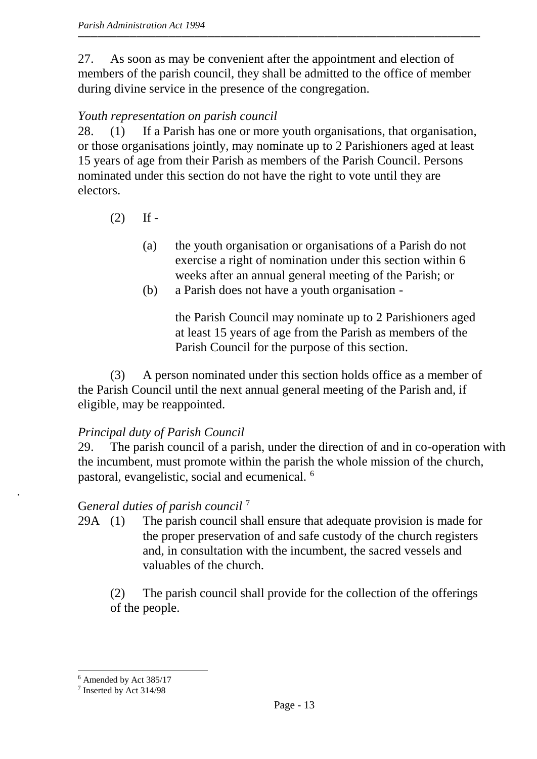27. As soon as may be convenient after the appointment and election of members of the parish council, they shall be admitted to the office of member during divine service in the presence of the congregation.

# *Youth representation on parish council*

28. (1) If a Parish has one or more youth organisations, that organisation, or those organisations jointly, may nominate up to 2 Parishioners aged at least 15 years of age from their Parish as members of the Parish Council. Persons nominated under this section do not have the right to vote until they are electors.

- $(2)$  If -
	- (a) the youth organisation or organisations of a Parish do not exercise a right of nomination under this section within 6 weeks after an annual general meeting of the Parish; or
	- (b) a Parish does not have a youth organisation -

the Parish Council may nominate up to 2 Parishioners aged at least 15 years of age from the Parish as members of the Parish Council for the purpose of this section.

(3) A person nominated under this section holds office as a member of the Parish Council until the next annual general meeting of the Parish and, if eligible, may be reappointed.

## *Principal duty of Parish Council*

29. The parish council of a parish, under the direction of and in co-operation with the incumbent, must promote within the parish the whole mission of the church, pastoral, evangelistic, social and ecumenical. <sup>6</sup>

# G*eneral duties of parish council* <sup>7</sup>

29A (1) The parish council shall ensure that adequate provision is made for the proper preservation of and safe custody of the church registers and, in consultation with the incumbent, the sacred vessels and valuables of the church.

(2) The parish council shall provide for the collection of the offerings of the people.

.

 $\overline{a}$ <sup>6</sup> Amended by Act 385/17

<sup>7</sup> Inserted by Act 314/98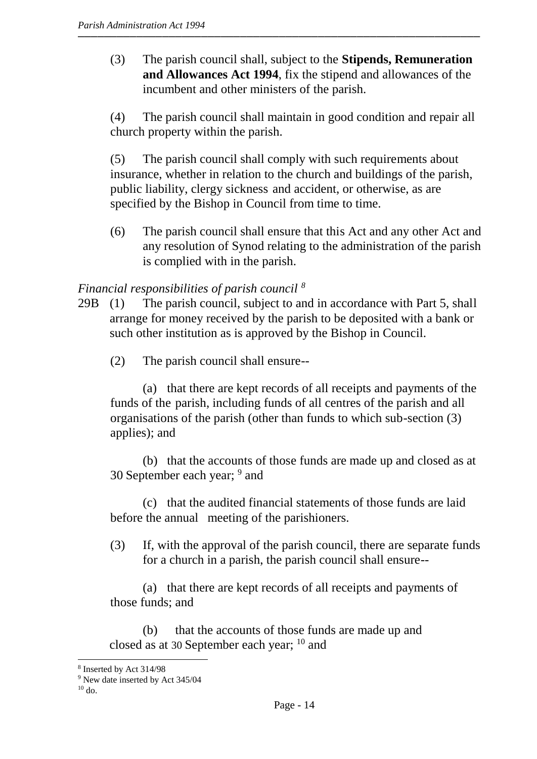(3) The parish council shall, subject to the **Stipends, Remuneration and Allowances Act 1994**, fix the stipend and allowances of the incumbent and other ministers of the parish.

(4) The parish council shall maintain in good condition and repair all church property within the parish.

(5) The parish council shall comply with such requirements about insurance, whether in relation to the church and buildings of the parish, public liability, clergy sickness and accident, or otherwise, as are specified by the Bishop in Council from time to time.

(6) The parish council shall ensure that this Act and any other Act and any resolution of Synod relating to the administration of the parish is complied with in the parish.

## *Financial responsibilities of parish council <sup>8</sup>*

- 29B (1) The parish council, subject to and in accordance with Part 5, shall arrange for money received by the parish to be deposited with a bank or such other institution as is approved by the Bishop in Council.
	- (2) The parish council shall ensure--

(a) that there are kept records of all receipts and payments of the funds of the parish, including funds of all centres of the parish and all organisations of the parish (other than funds to which sub-section (3) applies); and

(b) that the accounts of those funds are made up and closed as at 30 September each year; <sup>9</sup> and

(c) that the audited financial statements of those funds are laid before the annual meeting of the parishioners.

(3) If, with the approval of the parish council, there are separate funds for a church in a parish, the parish council shall ensure--

(a) that there are kept records of all receipts and payments of those funds; and

(b) that the accounts of those funds are made up and closed as at 30 September each year;  $^{10}$  and

 $\overline{a}$ 

<sup>8</sup> Inserted by Act 314/98

<sup>9</sup> New date inserted by Act 345/04

 $10$  do.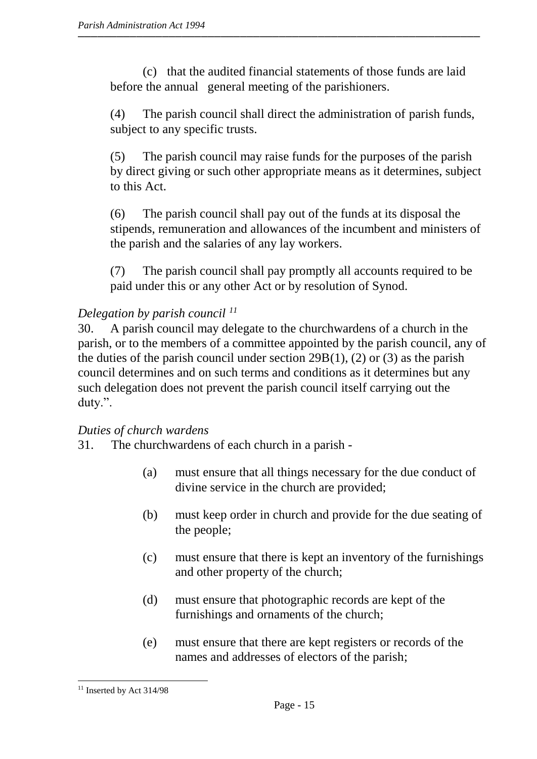(c) that the audited financial statements of those funds are laid before the annual general meeting of the parishioners.

(4) The parish council shall direct the administration of parish funds, subject to any specific trusts.

(5) The parish council may raise funds for the purposes of the parish by direct giving or such other appropriate means as it determines, subject to this Act.

(6) The parish council shall pay out of the funds at its disposal the stipends, remuneration and allowances of the incumbent and ministers of the parish and the salaries of any lay workers.

(7) The parish council shall pay promptly all accounts required to be paid under this or any other Act or by resolution of Synod.

## *Delegation by parish council <sup>11</sup>*

30. A parish council may delegate to the churchwardens of a church in the parish, or to the members of a committee appointed by the parish council, any of the duties of the parish council under section  $29B(1)$ , (2) or (3) as the parish council determines and on such terms and conditions as it determines but any such delegation does not prevent the parish council itself carrying out the duty.".

## *Duties of church wardens*

31. The churchwardens of each church in a parish -

- (a) must ensure that all things necessary for the due conduct of divine service in the church are provided;
- (b) must keep order in church and provide for the due seating of the people;
- (c) must ensure that there is kept an inventory of the furnishings and other property of the church;
- (d) must ensure that photographic records are kept of the furnishings and ornaments of the church;
- (e) must ensure that there are kept registers or records of the names and addresses of electors of the parish;

 $\overline{a}$ 

 $11$  Inserted by Act 314/98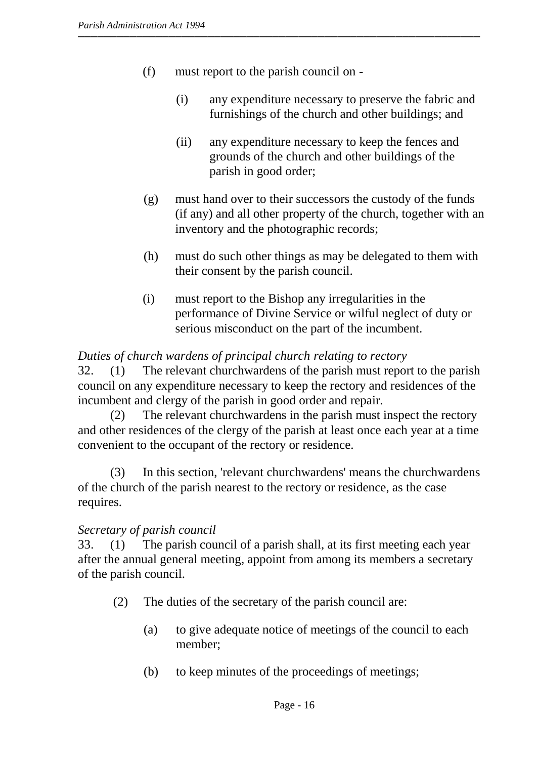- (f) must report to the parish council on
	- (i) any expenditure necessary to preserve the fabric and furnishings of the church and other buildings; and
	- (ii) any expenditure necessary to keep the fences and grounds of the church and other buildings of the parish in good order;
- (g) must hand over to their successors the custody of the funds (if any) and all other property of the church, together with an inventory and the photographic records;
- (h) must do such other things as may be delegated to them with their consent by the parish council.
- (i) must report to the Bishop any irregularities in the performance of Divine Service or wilful neglect of duty or serious misconduct on the part of the incumbent.

#### *Duties of church wardens of principal church relating to rectory*

32. (1) The relevant churchwardens of the parish must report to the parish council on any expenditure necessary to keep the rectory and residences of the incumbent and clergy of the parish in good order and repair.

(2) The relevant churchwardens in the parish must inspect the rectory and other residences of the clergy of the parish at least once each year at a time convenient to the occupant of the rectory or residence.

(3) In this section, 'relevant churchwardens' means the churchwardens of the church of the parish nearest to the rectory or residence, as the case requires.

#### *Secretary of parish council*

33. (1) The parish council of a parish shall, at its first meeting each year after the annual general meeting, appoint from among its members a secretary of the parish council.

- (2) The duties of the secretary of the parish council are:
	- (a) to give adequate notice of meetings of the council to each member;
	- (b) to keep minutes of the proceedings of meetings;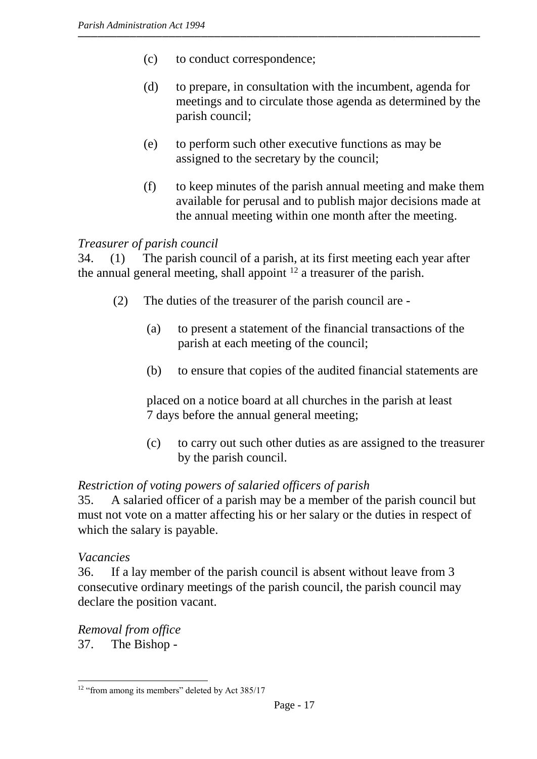- (c) to conduct correspondence;
- (d) to prepare, in consultation with the incumbent, agenda for meetings and to circulate those agenda as determined by the parish council;
- (e) to perform such other executive functions as may be assigned to the secretary by the council;
- (f) to keep minutes of the parish annual meeting and make them available for perusal and to publish major decisions made at the annual meeting within one month after the meeting.

#### *Treasurer of parish council*

34. (1) The parish council of a parish, at its first meeting each year after the annual general meeting, shall appoint  $12$  a treasurer of the parish.

- (2) The duties of the treasurer of the parish council are
	- (a) to present a statement of the financial transactions of the parish at each meeting of the council;
	- (b) to ensure that copies of the audited financial statements are

placed on a notice board at all churches in the parish at least 7 days before the annual general meeting;

(c) to carry out such other duties as are assigned to the treasurer by the parish council.

#### *Restriction of voting powers of salaried officers of parish*

35. A salaried officer of a parish may be a member of the parish council but must not vote on a matter affecting his or her salary or the duties in respect of which the salary is payable.

#### *Vacancies*

 $\overline{a}$ 

36. If a lay member of the parish council is absent without leave from 3 consecutive ordinary meetings of the parish council, the parish council may declare the position vacant.

*Removal from office* 37. The Bishop -

<sup>&</sup>lt;sup>12</sup> "from among its members" deleted by Act 385/17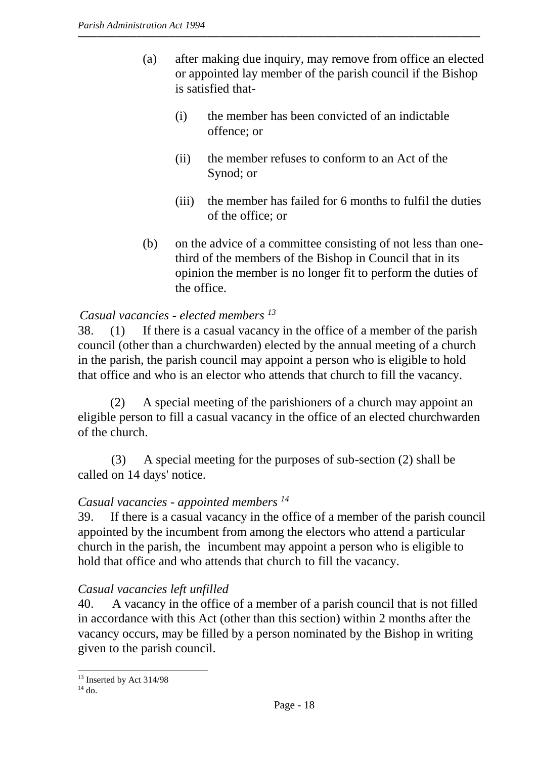- (a) after making due inquiry, may remove from office an elected or appointed lay member of the parish council if the Bishop is satisfied that-
	- (i) the member has been convicted of an indictable offence; or
	- (ii) the member refuses to conform to an Act of the Synod; or
	- (iii) the member has failed for 6 months to fulfil the duties of the office; or
- (b) on the advice of a committee consisting of not less than onethird of the members of the Bishop in Council that in its opinion the member is no longer fit to perform the duties of the office.

# *Casual vacancies - elected members <sup>13</sup>*

 38. (1) If there is a casual vacancy in the office of a member of the parish council (other than a churchwarden) elected by the annual meeting of a church in the parish, the parish council may appoint a person who is eligible to hold that office and who is an elector who attends that church to fill the vacancy.

(2) A special meeting of the parishioners of a church may appoint an eligible person to fill a casual vacancy in the office of an elected churchwarden of the church.

(3) A special meeting for the purposes of sub-section (2) shall be called on 14 days' notice.

## *Casual vacancies - appointed members <sup>14</sup>*

39. If there is a casual vacancy in the office of a member of the parish council appointed by the incumbent from among the electors who attend a particular church in the parish, the incumbent may appoint a person who is eligible to hold that office and who attends that church to fill the vacancy.

## *Casual vacancies left unfilled*

40. A vacancy in the office of a member of a parish council that is not filled in accordance with this Act (other than this section) within 2 months after the vacancy occurs, may be filled by a person nominated by the Bishop in writing given to the parish council.

 $\overline{a}$ <sup>13</sup> Inserted by Act 314/98

 $14$  do.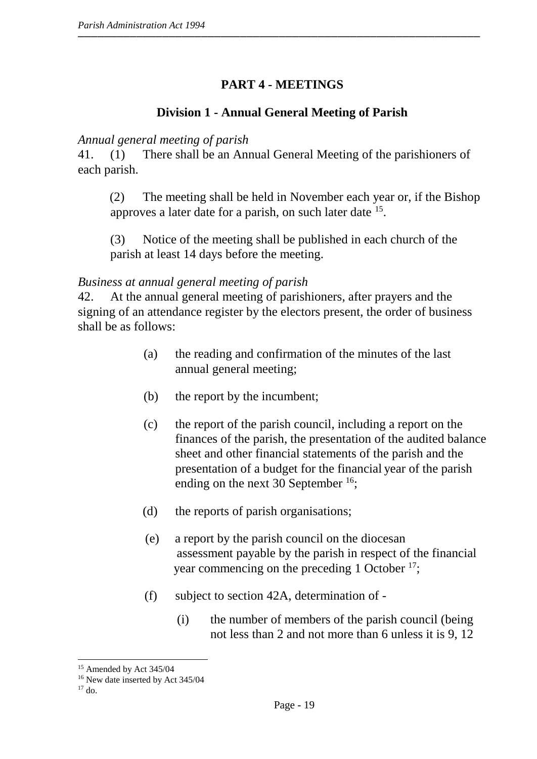# **PART 4 - MEETINGS**

# **Division 1 - Annual General Meeting of Parish**

#### *Annual general meeting of parish*

41. (1) There shall be an Annual General Meeting of the parishioners of each parish.

(2) The meeting shall be held in November each year or, if the Bishop approves a later date for a parish, on such later date <sup>15</sup>.

(3) Notice of the meeting shall be published in each church of the parish at least 14 days before the meeting.

#### *Business at annual general meeting of parish*

42. At the annual general meeting of parishioners, after prayers and the signing of an attendance register by the electors present, the order of business shall be as follows:

- (a) the reading and confirmation of the minutes of the last annual general meeting;
- (b) the report by the incumbent;
- (c) the report of the parish council, including a report on the finances of the parish, the presentation of the audited balance sheet and other financial statements of the parish and the presentation of a budget for the financial year of the parish ending on the next 30 September  $16$ ;
- (d) the reports of parish organisations;
- (e) a report by the parish council on the diocesan assessment payable by the parish in respect of the financial year commencing on the preceding 1 October <sup>17</sup>;
- (f) subject to section 42A, determination of
	- (i) the number of members of the parish council (being not less than 2 and not more than 6 unless it is 9, 12

 $\overline{a}$ <sup>15</sup> Amended by Act 345/04

<sup>16</sup> New date inserted by Act 345/04

 $17$  do.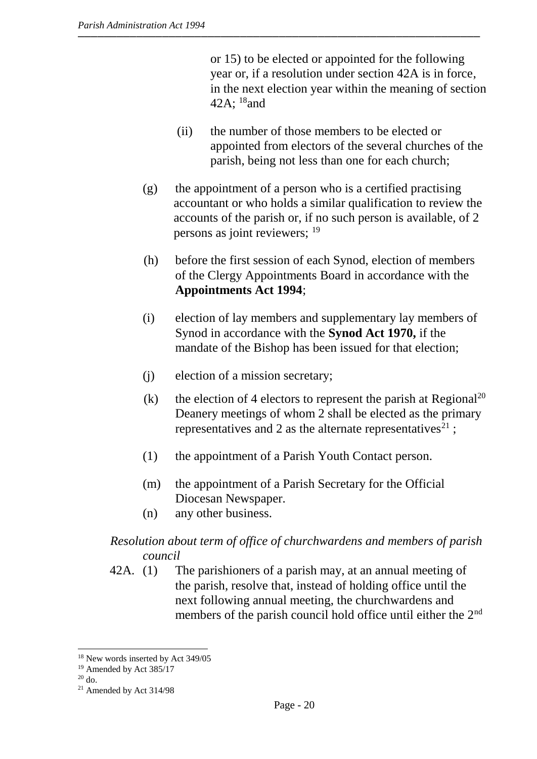or 15) to be elected or appointed for the following year or, if a resolution under section 42A is in force, in the next election year within the meaning of section 42A; <sup>18</sup>and

- (ii) the number of those members to be elected or appointed from electors of the several churches of the parish, being not less than one for each church;
- (g) the appointment of a person who is a certified practising accountant or who holds a similar qualification to review the accounts of the parish or, if no such person is available, of 2 persons as joint reviewers; <sup>19</sup>
- (h) before the first session of each Synod, election of members of the Clergy Appointments Board in accordance with the **Appointments Act 1994**;
- (i) election of lay members and supplementary lay members of Synod in accordance with the **Synod Act 1970,** if the mandate of the Bishop has been issued for that election;
- (j) election of a mission secretary;
- (k) the election of 4 electors to represent the parish at Regional<sup>20</sup> Deanery meetings of whom 2 shall be elected as the primary representatives and 2 as the alternate representatives<sup>21</sup>;
- (1) the appointment of a Parish Youth Contact person.
- (m) the appointment of a Parish Secretary for the Official Diocesan Newspaper.
- (n) any other business.

#### *Resolution about term of office of churchwardens and members of parish council*

42A. (1) The parishioners of a parish may, at an annual meeting of the parish, resolve that, instead of holding office until the next following annual meeting, the churchwardens and members of the parish council hold office until either the 2<sup>nd</sup>

 $\overline{a}$ 

<sup>&</sup>lt;sup>18</sup> New words inserted by Act 349/05

<sup>19</sup> Amended by Act 385/17

<sup>20</sup> do.

<sup>21</sup> Amended by Act 314/98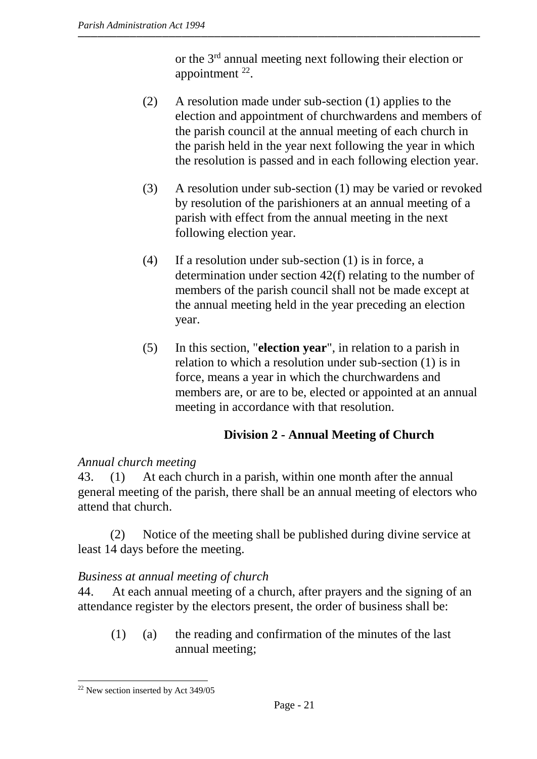or the 3rd annual meeting next following their election or appointment  $^{22}$ .

- (2) A resolution made under sub-section (1) applies to the election and appointment of churchwardens and members of the parish council at the annual meeting of each church in the parish held in the year next following the year in which the resolution is passed and in each following election year.
- (3) A resolution under sub-section (1) may be varied or revoked by resolution of the parishioners at an annual meeting of a parish with effect from the annual meeting in the next following election year.
- (4) If a resolution under sub-section (1) is in force, a determination under section 42(f) relating to the number of members of the parish council shall not be made except at the annual meeting held in the year preceding an election year.
- (5) In this section, "**election year**", in relation to a parish in relation to which a resolution under sub-section (1) is in force, means a year in which the churchwardens and members are, or are to be, elected or appointed at an annual meeting in accordance with that resolution.

# **Division 2 - Annual Meeting of Church**

# *Annual church meeting*

43. (1) At each church in a parish, within one month after the annual general meeting of the parish, there shall be an annual meeting of electors who attend that church.

(2) Notice of the meeting shall be published during divine service at least 14 days before the meeting.

# *Business at annual meeting of church*

44. At each annual meeting of a church, after prayers and the signing of an attendance register by the electors present, the order of business shall be:

(1) (a) the reading and confirmation of the minutes of the last annual meeting;

 $\overline{a}$ <sup>22</sup> New section inserted by Act 349/05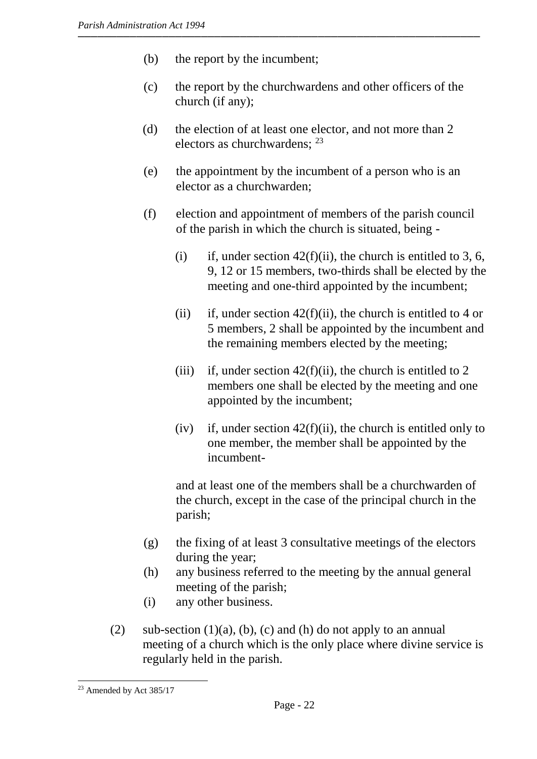- (b) the report by the incumbent;
- (c) the report by the churchwardens and other officers of the church (if any);
- (d) the election of at least one elector, and not more than 2 electors as churchwardens; <sup>23</sup>
- (e) the appointment by the incumbent of a person who is an elector as a churchwarden;
- (f) election and appointment of members of the parish council of the parish in which the church is situated, being -
	- (i) if, under section  $42(f)(ii)$ , the church is entitled to 3, 6, 9, 12 or 15 members, two-thirds shall be elected by the meeting and one-third appointed by the incumbent;
	- (ii) if, under section  $42(f)(ii)$ , the church is entitled to 4 or 5 members, 2 shall be appointed by the incumbent and the remaining members elected by the meeting;
	- (iii) if, under section  $42(f)(ii)$ , the church is entitled to 2 members one shall be elected by the meeting and one appointed by the incumbent;
	- (iv) if, under section  $42(f)(ii)$ , the church is entitled only to one member, the member shall be appointed by the incumbent-

and at least one of the members shall be a churchwarden of the church, except in the case of the principal church in the parish;

- (g) the fixing of at least 3 consultative meetings of the electors during the year;
- (h) any business referred to the meeting by the annual general meeting of the parish;
- (i) any other business.
- (2) sub-section  $(1)(a)$ ,  $(b)$ ,  $(c)$  and  $(h)$  do not apply to an annual meeting of a church which is the only place where divine service is regularly held in the parish.

 $\overline{a}$ 

<sup>23</sup> Amended by Act 385/17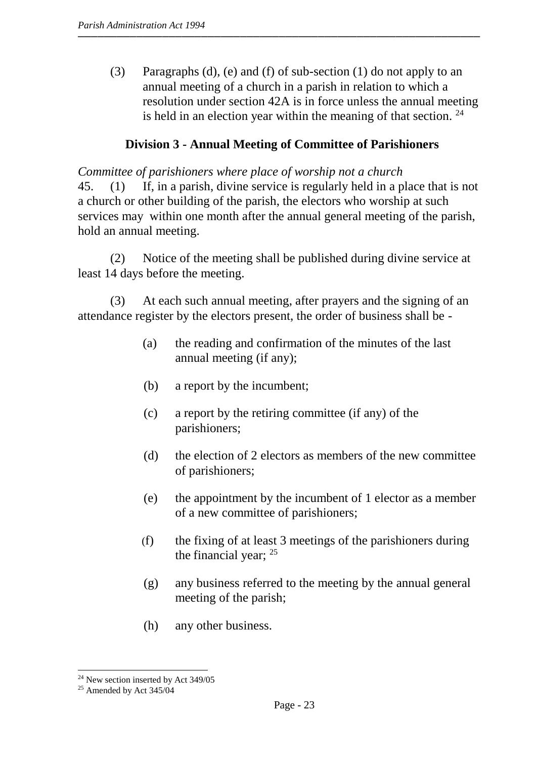(3) Paragraphs (d), (e) and (f) of sub-section (1) do not apply to an annual meeting of a church in a parish in relation to which a resolution under section 42A is in force unless the annual meeting is held in an election year within the meaning of that section.  $24$ 

#### **Division 3 - Annual Meeting of Committee of Parishioners**

*Committee of parishioners where place of worship not a church* 45. (1) If, in a parish, divine service is regularly held in a place that is not a church or other building of the parish, the electors who worship at such services may within one month after the annual general meeting of the parish, hold an annual meeting.

(2) Notice of the meeting shall be published during divine service at least 14 days before the meeting.

(3) At each such annual meeting, after prayers and the signing of an attendance register by the electors present, the order of business shall be -

- (a) the reading and confirmation of the minutes of the last annual meeting (if any);
- (b) a report by the incumbent;
- (c) a report by the retiring committee (if any) of the parishioners;
- (d) the election of 2 electors as members of the new committee of parishioners;
- (e) the appointment by the incumbent of 1 elector as a member of a new committee of parishioners;
- (f) the fixing of at least 3 meetings of the parishioners during the financial year; <sup>25</sup>
- (g) any business referred to the meeting by the annual general meeting of the parish;
- (h) any other business.

 $\overline{a}$ 

<sup>&</sup>lt;sup>24</sup> New section inserted by Act 349/05

 $25$  Amended by Act 345/04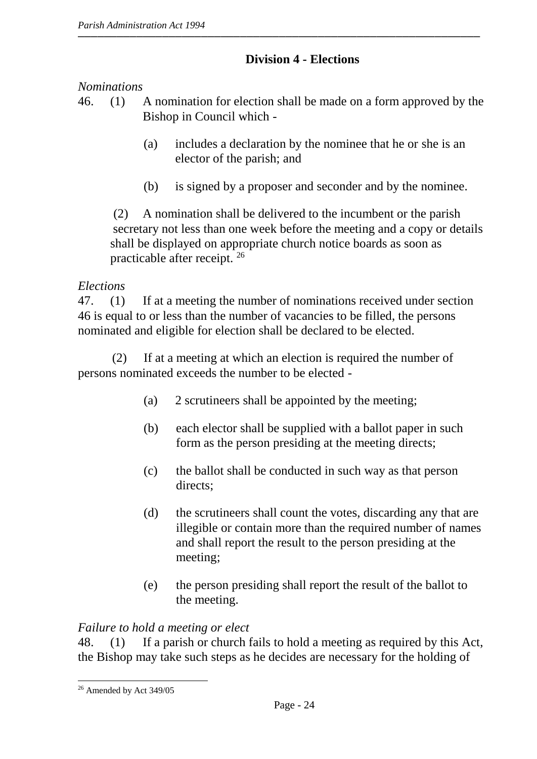# **Division 4 - Elections**

# *Nominations*

- 46. (1) A nomination for election shall be made on a form approved by the Bishop in Council which -
	- (a) includes a declaration by the nominee that he or she is an elector of the parish; and
	- (b) is signed by a proposer and seconder and by the nominee.

(2) A nomination shall be delivered to the incumbent or the parish secretary not less than one week before the meeting and a copy or details shall be displayed on appropriate church notice boards as soon as practicable after receipt. <sup>26</sup>

## *Elections*

47. (1) If at a meeting the number of nominations received under section 46 is equal to or less than the number of vacancies to be filled, the persons nominated and eligible for election shall be declared to be elected.

(2) If at a meeting at which an election is required the number of persons nominated exceeds the number to be elected -

- (a) 2 scrutineers shall be appointed by the meeting;
- (b) each elector shall be supplied with a ballot paper in such form as the person presiding at the meeting directs;
- (c) the ballot shall be conducted in such way as that person directs:
- (d) the scrutineers shall count the votes, discarding any that are illegible or contain more than the required number of names and shall report the result to the person presiding at the meeting;
- (e) the person presiding shall report the result of the ballot to the meeting.

# *Failure to hold a meeting or elect*

48. (1) If a parish or church fails to hold a meeting as required by this Act, the Bishop may take such steps as he decides are necessary for the holding of

 $\overline{a}$ <sup>26</sup> Amended by Act 349/05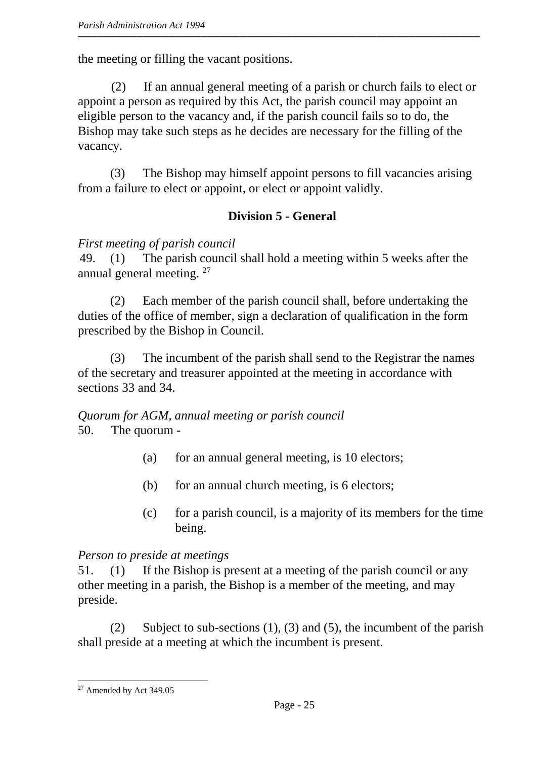the meeting or filling the vacant positions.

(2) If an annual general meeting of a parish or church fails to elect or appoint a person as required by this Act, the parish council may appoint an eligible person to the vacancy and, if the parish council fails so to do, the Bishop may take such steps as he decides are necessary for the filling of the vacancy.

(3) The Bishop may himself appoint persons to fill vacancies arising from a failure to elect or appoint, or elect or appoint validly.

# **Division 5 - General**

## *First meeting of parish council*

49. (1) The parish council shall hold a meeting within 5 weeks after the annual general meeting. <sup>27</sup>

(2) Each member of the parish council shall, before undertaking the duties of the office of member, sign a declaration of qualification in the form prescribed by the Bishop in Council.

(3) The incumbent of the parish shall send to the Registrar the names of the secretary and treasurer appointed at the meeting in accordance with sections 33 and 34.

*Quorum for AGM, annual meeting or parish council* 50. The quorum -

- (a) for an annual general meeting, is 10 electors;
- (b) for an annual church meeting, is 6 electors;
- (c) for a parish council, is a majority of its members for the time being.

## *Person to preside at meetings*

51. (1) If the Bishop is present at a meeting of the parish council or any other meeting in a parish, the Bishop is a member of the meeting, and may preside.

(2) Subject to sub-sections (1), (3) and (5)*,* the incumbent of the parish shall preside at a meeting at which the incumbent is present.

 $\overline{a}$ <sup>27</sup> Amended by Act 349.05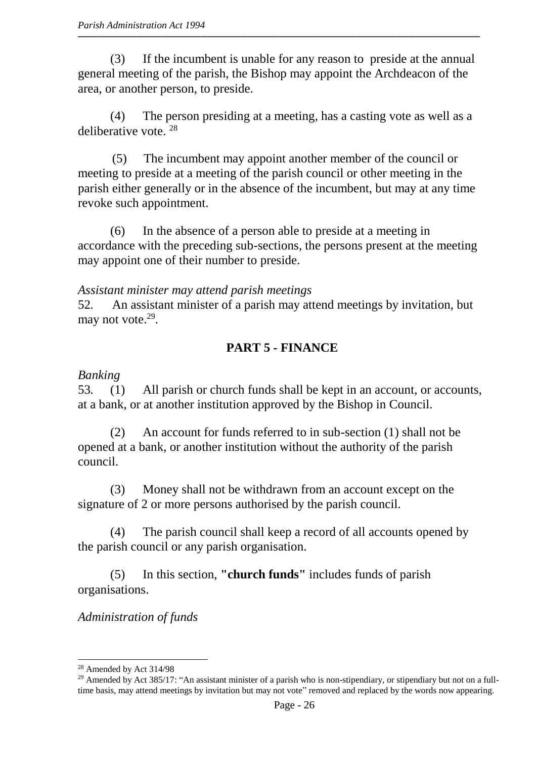(3) If the incumbent is unable for any reason to preside at the annual general meeting of the parish, the Bishop may appoint the Archdeacon of the area, or another person, to preside.

(4) The person presiding at a meeting, has a casting vote as well as a deliberative vote. <sup>28</sup>

(5) The incumbent may appoint another member of the council or meeting to preside at a meeting of the parish council or other meeting in the parish either generally or in the absence of the incumbent, but may at any time revoke such appointment.

(6) In the absence of a person able to preside at a meeting in accordance with the preceding sub-sections, the persons present at the meeting may appoint one of their number to preside.

#### *Assistant minister may attend parish meetings*

52*.* An assistant minister of a parish may attend meetings by invitation, but may not vote.<sup>29</sup>.

# **PART 5** *-* **FINANCE**

# *Banking*

53*.* (1) All parish or church funds shall be kept in an account, or accounts, at a bank, or at another institution approved by the Bishop in Council.

(2) An account for funds referred to in sub-section (1) shall not be opened at a bank, or another institution without the authority of the parish council.

(3) Money shall not be withdrawn from an account except on the signature of 2 or more persons authorised by the parish council.

(4) The parish council shall keep a record of all accounts opened by the parish council or any parish organisation.

(5) In this section, **"church funds"** includes funds of parish organisations.

## *Administration of funds*

 $\overline{a}$ <sup>28</sup> Amended by Act 314/98

<sup>&</sup>lt;sup>29</sup> Amended by Act 385/17: "An assistant minister of a parish who is non-stipendiary, or stipendiary but not on a fulltime basis, may attend meetings by invitation but may not vote" removed and replaced by the words now appearing.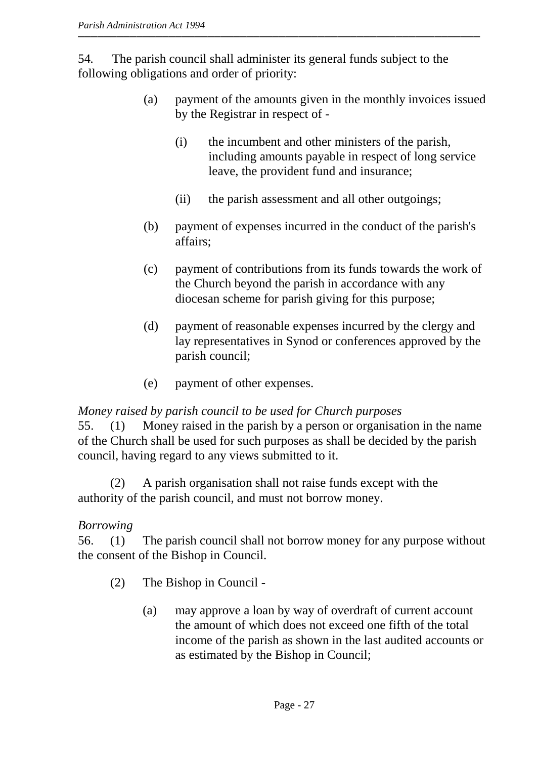54*.* The parish council shall administer its general funds subject to the following obligations and order of priority:

- (a) payment of the amounts given in the monthly invoices issued by the Registrar in respect of -
	- (i) the incumbent and other ministers of the parish, including amounts payable in respect of long service leave, the provident fund and insurance;
	- (ii) the parish assessment and all other outgoings;
- (b) payment of expenses incurred in the conduct of the parish's affairs;
- (c) payment of contributions from its funds towards the work of the Church beyond the parish in accordance with any diocesan scheme for parish giving for this purpose;
- (d) payment of reasonable expenses incurred by the clergy and lay representatives in Synod or conferences approved by the parish council;
- (e) payment of other expenses.

#### *Money raised by parish council to be used for Church purposes*

55. (1) Money raised in the parish by a person or organisation in the name of the Church shall be used for such purposes as shall be decided by the parish council, having regard to any views submitted to it.

(2) A parish organisation shall not raise funds except with the authority of the parish council, and must not borrow money.

## *Borrowing*

56. (1) The parish council shall not borrow money for any purpose without the consent of the Bishop in Council.

- (2) The Bishop in Council
	- (a) may approve a loan by way of overdraft of current account the amount of which does not exceed one fifth of the total income of the parish as shown in the last audited accounts or as estimated by the Bishop in Council;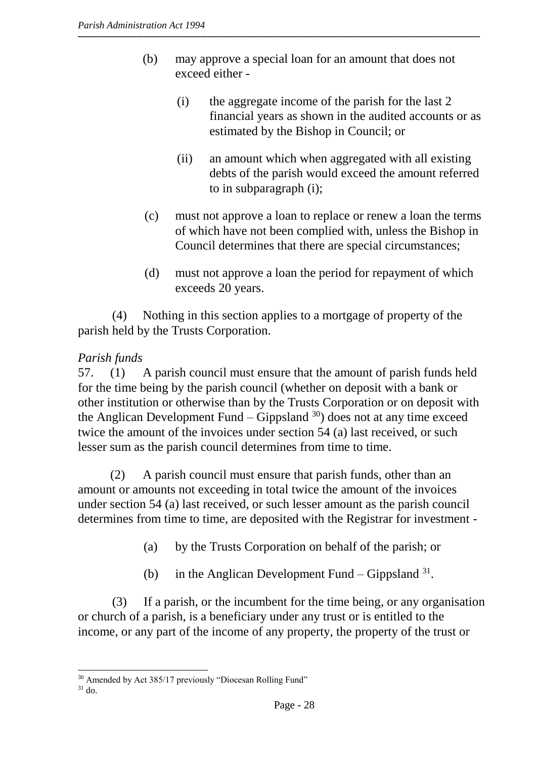- (b) may approve a special loan for an amount that does not exceed either -
	- (i) the aggregate income of the parish for the last 2 financial years as shown in the audited accounts or as estimated by the Bishop in Council; or
	- (ii) an amount which when aggregated with all existing debts of the parish would exceed the amount referred to in subparagraph (i);
- (c) must not approve a loan to replace or renew a loan the terms of which have not been complied with, unless the Bishop in Council determines that there are special circumstances;
- (d) must not approve a loan the period for repayment of which exceeds 20 years.

(4) Nothing in this section applies to a mortgage of property of the parish held by the Trusts Corporation.

# *Parish funds*

57. (1) A parish council must ensure that the amount of parish funds held for the time being by the parish council (whether on deposit with a bank or other institution or otherwise than by the Trusts Corporation or on deposit with the Anglican Development Fund – Gippsland  $30$  does not at any time exceed twice the amount of the invoices under section 54 (a) last received, or such lesser sum as the parish council determines from time to time.

(2) A parish council must ensure that parish funds, other than an amount or amounts not exceeding in total twice the amount of the invoices under section 54 (a) last received, or such lesser amount as the parish council determines from time to time, are deposited with the Registrar for investment -

- (a) by the Trusts Corporation on behalf of the parish; or
- (b) in the Anglican Development Fund Gippsland  $31$ .

(3) If a parish, or the incumbent for the time being, or any organisation or church of a parish, is a beneficiary under any trust or is entitled to the income, or any part of the income of any property, the property of the trust or

 $\overline{a}$ <sup>30</sup> Amended by Act 385/17 previously "Diocesan Rolling Fund"

 $31$  do.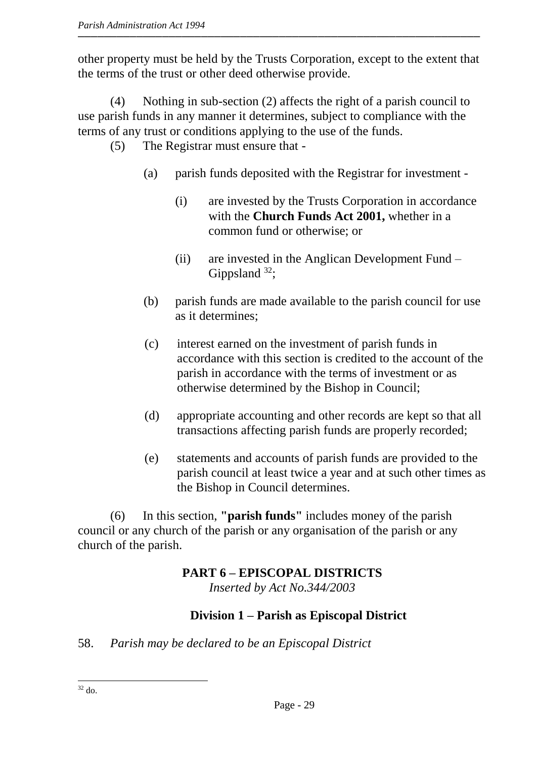other property must be held by the Trusts Corporation, except to the extent that the terms of the trust or other deed otherwise provide.

(4) Nothing in sub-section (2) affects the right of a parish council to use parish funds in any manner it determines, subject to compliance with the terms of any trust or conditions applying to the use of the funds.

- (5) The Registrar must ensure that
	- (a) parish funds deposited with the Registrar for investment
		- (i) are invested by the Trusts Corporation in accordance with the **Church Funds Act 2001,** whether in a common fund or otherwise; or
		- (ii) are invested in the Anglican Development Fund Gippsland  $32$ ;
	- (b) parish funds are made available to the parish council for use as it determines;
	- (c) interest earned on the investment of parish funds in accordance with this section is credited to the account of the parish in accordance with the terms of investment or as otherwise determined by the Bishop in Council;
	- (d) appropriate accounting and other records are kept so that all transactions affecting parish funds are properly recorded;
	- (e) statements and accounts of parish funds are provided to the parish council at least twice a year and at such other times as the Bishop in Council determines.

(6) In this section, **"parish funds"** includes money of the parish council or any church of the parish or any organisation of the parish or any church of the parish.

#### **PART 6 – EPISCOPAL DISTRICTS**  *Inserted by Act No.344/2003*

# **Division 1 – Parish as Episcopal District**

58. *Parish may be declared to be an Episcopal District*

 $\overline{a}$  $32$  do.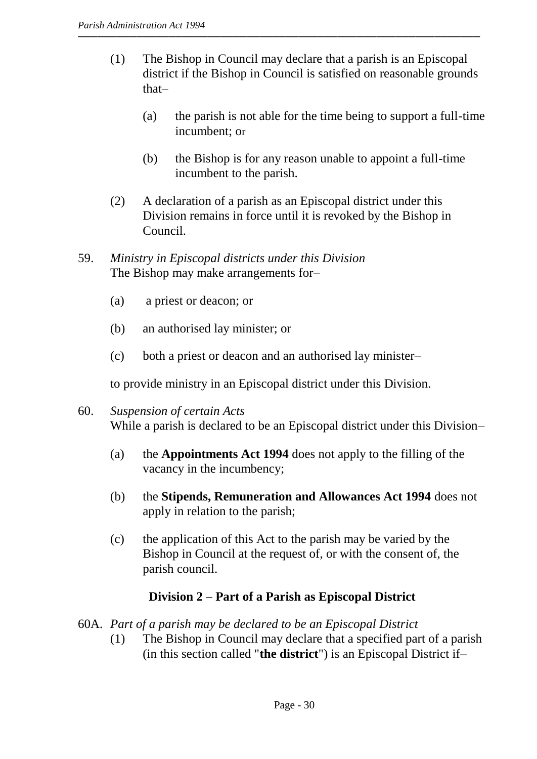- (1) The Bishop in Council may declare that a parish is an Episcopal district if the Bishop in Council is satisfied on reasonable grounds that–
	- (a) the parish is not able for the time being to support a full-time incumbent; or
	- (b) the Bishop is for any reason unable to appoint a full-time incumbent to the parish.
- (2) A declaration of a parish as an Episcopal district under this Division remains in force until it is revoked by the Bishop in Council.
- 59. *Ministry in Episcopal districts under this Division* The Bishop may make arrangements for–
	- (a) a priest or deacon; or
	- (b) an authorised lay minister; or
	- (c) both a priest or deacon and an authorised lay minister–

to provide ministry in an Episcopal district under this Division.

- 60. *Suspension of certain Acts* While a parish is declared to be an Episcopal district under this Division–
	- (a) the **Appointments Act 1994** does not apply to the filling of the vacancy in the incumbency;
	- (b) the **Stipends, Remuneration and Allowances Act 1994** does not apply in relation to the parish;
	- (c) the application of this Act to the parish may be varied by the Bishop in Council at the request of, or with the consent of, the parish council.

# **Division 2 – Part of a Parish as Episcopal District**

- 60A. *Part of a parish may be declared to be an Episcopal District*
	- (1) The Bishop in Council may declare that a specified part of a parish (in this section called "**the district**") is an Episcopal District if–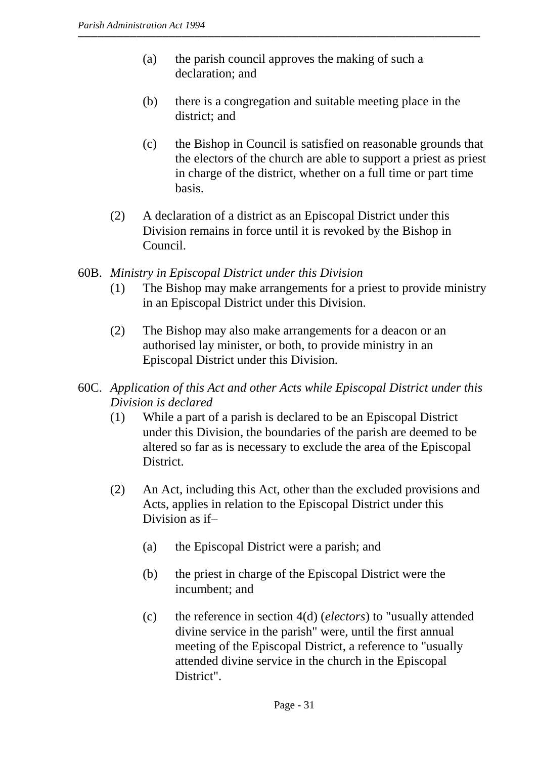- (a) the parish council approves the making of such a declaration; and
- (b) there is a congregation and suitable meeting place in the district; and
- (c) the Bishop in Council is satisfied on reasonable grounds that the electors of the church are able to support a priest as priest in charge of the district, whether on a full time or part time basis.
- (2) A declaration of a district as an Episcopal District under this Division remains in force until it is revoked by the Bishop in Council.
- 60B. *Ministry in Episcopal District under this Division*
	- (1) The Bishop may make arrangements for a priest to provide ministry in an Episcopal District under this Division.
	- (2) The Bishop may also make arrangements for a deacon or an authorised lay minister, or both, to provide ministry in an Episcopal District under this Division.
- 60C. *Application of this Act and other Acts while Episcopal District under this Division is declared*
	- (1) While a part of a parish is declared to be an Episcopal District under this Division, the boundaries of the parish are deemed to be altered so far as is necessary to exclude the area of the Episcopal District.
	- (2) An Act, including this Act, other than the excluded provisions and Acts, applies in relation to the Episcopal District under this Division as if–
		- (a) the Episcopal District were a parish; and
		- (b) the priest in charge of the Episcopal District were the incumbent; and
		- (c) the reference in section 4(d) (*electors*) to "usually attended divine service in the parish" were, until the first annual meeting of the Episcopal District, a reference to "usually attended divine service in the church in the Episcopal District".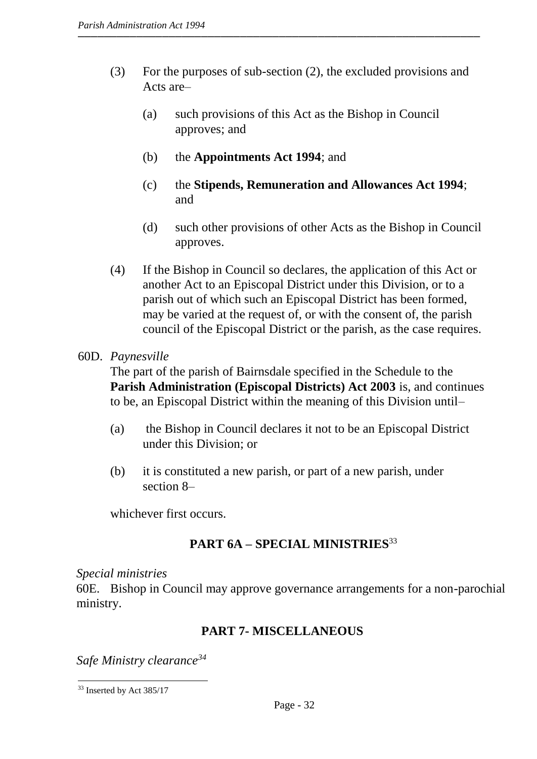- (3) For the purposes of sub-section (2), the excluded provisions and Acts are–
	- (a) such provisions of this Act as the Bishop in Council approves; and
	- (b) the **Appointments Act 1994**; and
	- (c) the **Stipends, Remuneration and Allowances Act 1994**; and
	- (d) such other provisions of other Acts as the Bishop in Council approves.
- (4) If the Bishop in Council so declares, the application of this Act or another Act to an Episcopal District under this Division, or to a parish out of which such an Episcopal District has been formed, may be varied at the request of, or with the consent of, the parish council of the Episcopal District or the parish, as the case requires.
- 60D. *Paynesville*

The part of the parish of Bairnsdale specified in the Schedule to the **Parish Administration (Episcopal Districts) Act 2003** is, and continues to be, an Episcopal District within the meaning of this Division until–

- (a) the Bishop in Council declares it not to be an Episcopal District under this Division; or
- (b) it is constituted a new parish, or part of a new parish, under section 8–

whichever first occurs.

# **PART 6A – SPECIAL MINISTRIES**<sup>33</sup>

*Special ministries*

60E. Bishop in Council may approve governance arrangements for a non-parochial ministry.

# **PART 7- MISCELLANEOUS**

*Safe Ministry clearance<sup>34</sup>*

 $\overline{a}$ 

<sup>&</sup>lt;sup>33</sup> Inserted by Act 385/17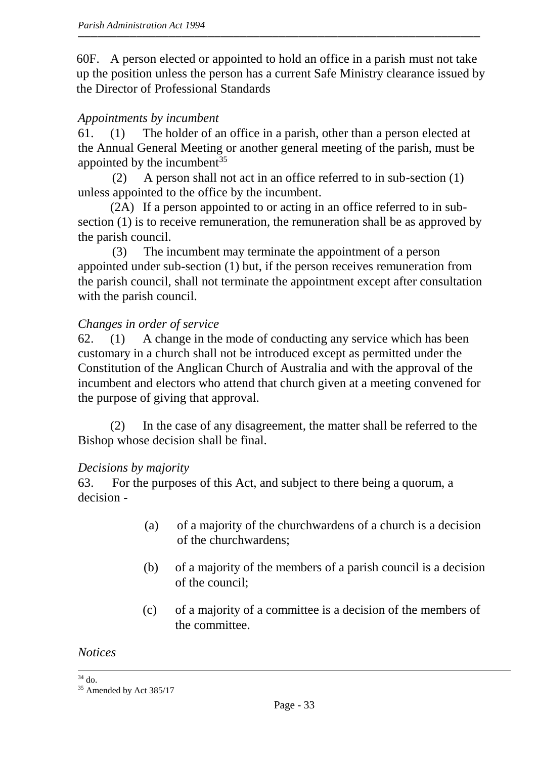60F. A person elected or appointed to hold an office in a parish must not take up the position unless the person has a current Safe Ministry clearance issued by the Director of Professional Standards

## *Appointments by incumbent*

61. (1) The holder of an office in a parish, other than a person elected at the Annual General Meeting or another general meeting of the parish, must be appointed by the incumbent<sup>35</sup>

(2) A person shall not act in an office referred to in sub-section (1) unless appointed to the office by the incumbent.

(2A) If a person appointed to or acting in an office referred to in subsection (1) is to receive remuneration, the remuneration shall be as approved by the parish council.

(3) The incumbent may terminate the appointment of a person appointed under sub-section (1) but, if the person receives remuneration from the parish council, shall not terminate the appointment except after consultation with the parish council.

#### *Changes in order of service*

62. (1) A change in the mode of conducting any service which has been customary in a church shall not be introduced except as permitted under the Constitution of the Anglican Church of Australia and with the approval of the incumbent and electors who attend that church given at a meeting convened for the purpose of giving that approval.

(2) In the case of any disagreement, the matter shall be referred to the Bishop whose decision shall be final.

#### *Decisions by majority*

63. For the purposes of this Act, and subject to there being a quorum, a decision -

- (a) of a majority of the churchwardens of a church is a decision of the churchwardens;
- (b) of a majority of the members of a parish council is a decision of the council;
- (c) of a majority of a committee is a decision of the members of the committee.

*Notices*

 $\overline{a}$  $34$  do.

<sup>&</sup>lt;sup>35</sup> Amended by Act 385/17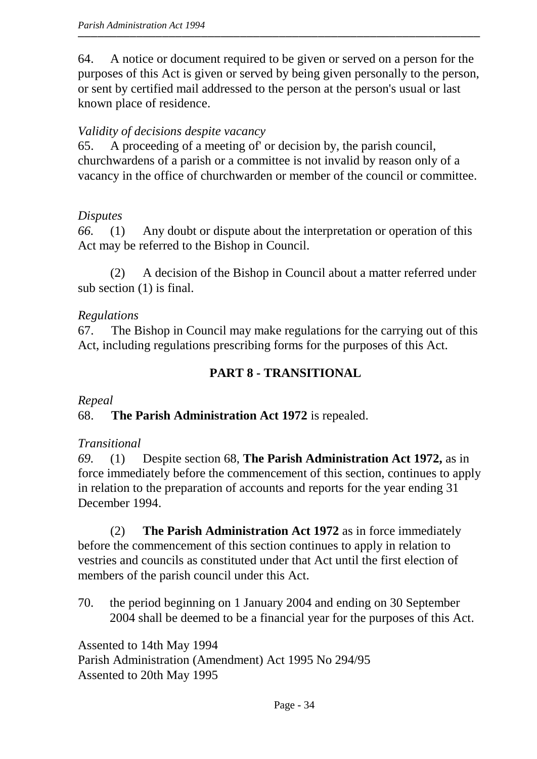64. A notice or document required to be given or served on a person for the purposes of this Act is given or served by being given personally to the person, or sent by certified mail addressed to the person at the person's usual or last known place of residence.

# *Validity of decisions despite vacancy*

65. A proceeding of a meeting of' or decision by, the parish council, churchwardens of a parish or a committee is not invalid by reason only of a vacancy in the office of churchwarden or member of the council or committee.

# *Disputes*

*66.* (1) Any doubt or dispute about the interpretation or operation of this Act may be referred to the Bishop in Council.

(2) A decision of the Bishop in Council about a matter referred under sub section (1) is final.

## *Regulations*

67. The Bishop in Council may make regulations for the carrying out of this Act, including regulations prescribing forms for the purposes of this Act.

# **PART 8 - TRANSITIONAL**

*Repeal*

68. **The Parish Administration Act 1972** is repealed.

# *Transitional*

*69.* (1) Despite section 68, **The Parish Administration Act 1972,** as in force immediately before the commencement of this section, continues to apply in relation to the preparation of accounts and reports for the year ending 31 December 1994.

(2) **The Parish Administration Act 1972** as in force immediately before the commencement of this section continues to apply in relation to vestries and councils as constituted under that Act until the first election of members of the parish council under this Act.

70. the period beginning on 1 January 2004 and ending on 30 September 2004 shall be deemed to be a financial year for the purposes of this Act.

Assented to 14th May 1994 Parish Administration (Amendment) Act 1995 No 294/95 Assented to 20th May 1995